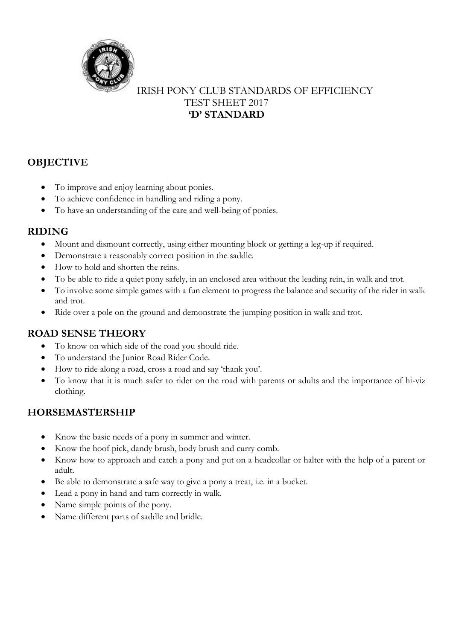

#### IRISH PONY CLUB STANDARDS OF EFFICIENCY TEST SHEET 2017 **'D' STANDARD**

# **OBJECTIVE**

- To improve and enjoy learning about ponies.
- To achieve confidence in handling and riding a pony.
- To have an understanding of the care and well-being of ponies.

### **RIDING**

- Mount and dismount correctly, using either mounting block or getting a leg-up if required.
- Demonstrate a reasonably correct position in the saddle.
- How to hold and shorten the reins.
- To be able to ride a quiet pony safely, in an enclosed area without the leading rein, in walk and trot.
- To involve some simple games with a fun element to progress the balance and security of the rider in walk and trot.
- Ride over a pole on the ground and demonstrate the jumping position in walk and trot.

#### **ROAD SENSE THEORY**

- To know on which side of the road you should ride.
- To understand the Junior Road Rider Code.
- How to ride along a road, cross a road and say 'thank you'.
- To know that it is much safer to rider on the road with parents or adults and the importance of hi-viz clothing.

## **HORSEMASTERSHIP**

- Know the basic needs of a pony in summer and winter.
- Know the hoof pick, dandy brush, body brush and curry comb.
- Know how to approach and catch a pony and put on a headcollar or halter with the help of a parent or adult.
- Be able to demonstrate a safe way to give a pony a treat, i.e. in a bucket.
- Lead a pony in hand and turn correctly in walk.
- Name simple points of the pony.
- Name different parts of saddle and bridle.